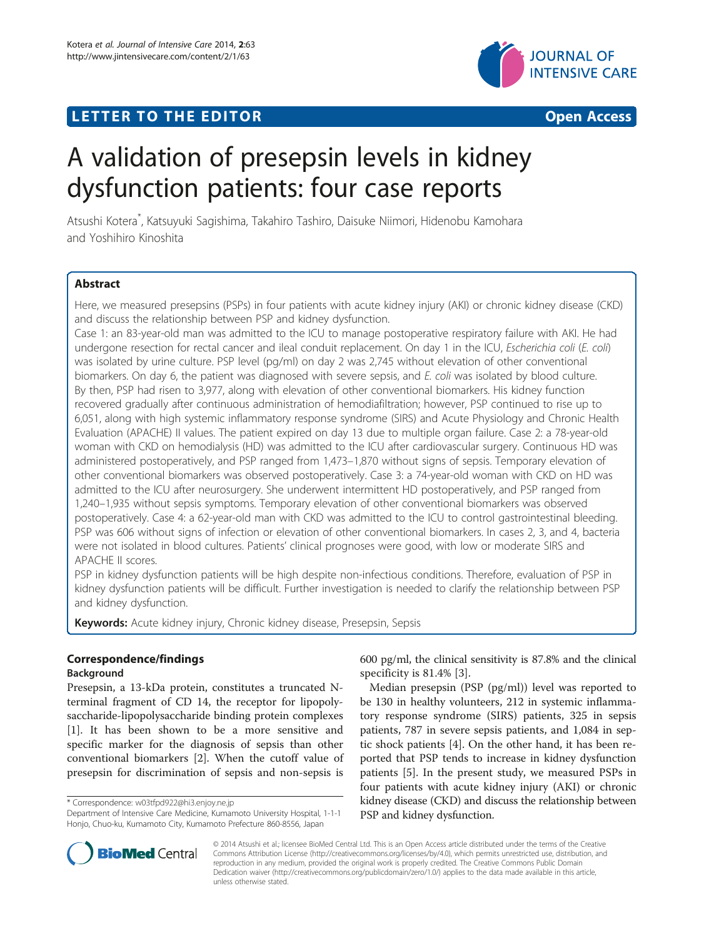# **LETTER TO THE EDITOR CONSIDERING ACCESS**



# A validation of presepsin levels in kidney dysfunction patients: four case reports

Atsushi Kotera\* , Katsuyuki Sagishima, Takahiro Tashiro, Daisuke Niimori, Hidenobu Kamohara and Yoshihiro Kinoshita

# Abstract

Here, we measured presepsins (PSPs) in four patients with acute kidney injury (AKI) or chronic kidney disease (CKD) and discuss the relationship between PSP and kidney dysfunction.

Case 1: an 83-year-old man was admitted to the ICU to manage postoperative respiratory failure with AKI. He had undergone resection for rectal cancer and ileal conduit replacement. On day 1 in the ICU, Escherichia coli (E. coli) was isolated by urine culture. PSP level (pg/ml) on day 2 was 2,745 without elevation of other conventional biomarkers. On day 6, the patient was diagnosed with severe sepsis, and E. coli was isolated by blood culture. By then, PSP had risen to 3,977, along with elevation of other conventional biomarkers. His kidney function recovered gradually after continuous administration of hemodiafiltration; however, PSP continued to rise up to 6,051, along with high systemic inflammatory response syndrome (SIRS) and Acute Physiology and Chronic Health Evaluation (APACHE) II values. The patient expired on day 13 due to multiple organ failure. Case 2: a 78-year-old woman with CKD on hemodialysis (HD) was admitted to the ICU after cardiovascular surgery. Continuous HD was administered postoperatively, and PSP ranged from 1,473–1,870 without signs of sepsis. Temporary elevation of other conventional biomarkers was observed postoperatively. Case 3: a 74-year-old woman with CKD on HD was admitted to the ICU after neurosurgery. She underwent intermittent HD postoperatively, and PSP ranged from 1,240–1,935 without sepsis symptoms. Temporary elevation of other conventional biomarkers was observed postoperatively. Case 4: a 62-year-old man with CKD was admitted to the ICU to control gastrointestinal bleeding. PSP was 606 without signs of infection or elevation of other conventional biomarkers. In cases 2, 3, and 4, bacteria were not isolated in blood cultures. Patients' clinical prognoses were good, with low or moderate SIRS and APACHE II scores.

PSP in kidney dysfunction patients will be high despite non-infectious conditions. Therefore, evaluation of PSP in kidney dysfunction patients will be difficult. Further investigation is needed to clarify the relationship between PSP and kidney dysfunction.

Keywords: Acute kidney injury, Chronic kidney disease, Presepsin, Sepsis

## Correspondence/findings

## Background

Presepsin, a 13-kDa protein, constitutes a truncated Nterminal fragment of CD 14, the receptor for lipopolysaccharide-lipopolysaccharide binding protein complexes [[1\]](#page-3-0). It has been shown to be a more sensitive and specific marker for the diagnosis of sepsis than other conventional biomarkers [[2\]](#page-3-0). When the cutoff value of presepsin for discrimination of sepsis and non-sepsis is

600 pg/ml, the clinical sensitivity is 87.8% and the clinical specificity is 81.4% [[3\]](#page-3-0).

Median presepsin (PSP (pg/ml)) level was reported to be 130 in healthy volunteers, 212 in systemic inflammatory response syndrome (SIRS) patients, 325 in sepsis patients, 787 in severe sepsis patients, and 1,084 in septic shock patients [\[4\]](#page-3-0). On the other hand, it has been reported that PSP tends to increase in kidney dysfunction patients [[5\]](#page-3-0). In the present study, we measured PSPs in four patients with acute kidney injury (AKI) or chronic kidney disease (CKD) and discuss the relationship between PSP and kidney dysfunction.



© 2014 Atsushi et al.; licensee BioMed Central Ltd. This is an Open Access article distributed under the terms of the Creative Commons Attribution License [\(http://creativecommons.org/licenses/by/4.0\)](http://creativecommons.org/licenses/by/4.0), which permits unrestricted use, distribution, and reproduction in any medium, provided the original work is properly credited. The Creative Commons Public Domain Dedication waiver [\(http://creativecommons.org/publicdomain/zero/1.0/](http://creativecommons.org/publicdomain/zero/1.0/)) applies to the data made available in this article, unless otherwise stated.

<sup>\*</sup> Correspondence: [w03tfpd922@hi3.enjoy.ne.jp](mailto:w03tfpd922@hi3.enjoy.ne.jp)

Department of Intensive Care Medicine, Kumamoto University Hospital, 1-1-1 Honjo, Chuo-ku, Kumamoto City, Kumamoto Prefecture 860-8556, Japan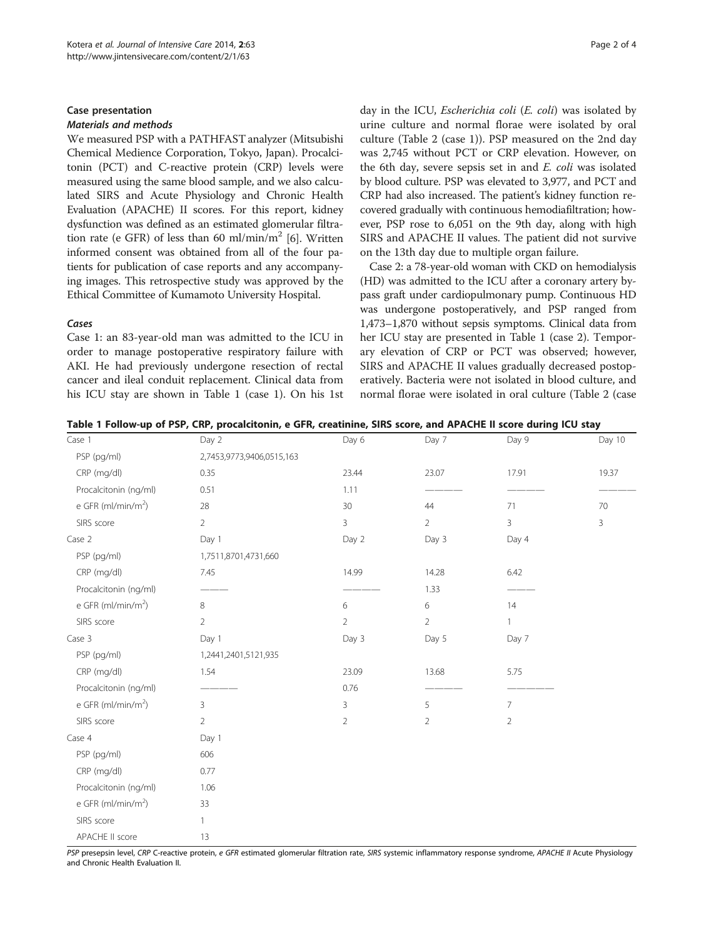#### <span id="page-1-0"></span>Case presentation

#### Materials and methods

We measured PSP with a PATHFAST analyzer (Mitsubishi Chemical Medience Corporation, Tokyo, Japan). Procalcitonin (PCT) and C-reactive protein (CRP) levels were measured using the same blood sample, and we also calculated SIRS and Acute Physiology and Chronic Health Evaluation (APACHE) II scores. For this report, kidney dysfunction was defined as an estimated glomerular filtra-tion rate (e GFR) of less than 60 ml/min/m<sup>2</sup> [\[6](#page-3-0)]. Written informed consent was obtained from all of the four patients for publication of case reports and any accompanying images. This retrospective study was approved by the Ethical Committee of Kumamoto University Hospital.

#### Cases

Case 1: an 83-year-old man was admitted to the ICU in order to manage postoperative respiratory failure with AKI. He had previously undergone resection of rectal cancer and ileal conduit replacement. Clinical data from his ICU stay are shown in Table 1 (case 1). On his 1st day in the ICU, Escherichia coli (E. coli) was isolated by urine culture and normal florae were isolated by oral culture (Table [2](#page-2-0) (case 1)). PSP measured on the 2nd day was 2,745 without PCT or CRP elevation. However, on the 6th day, severe sepsis set in and E. coli was isolated by blood culture. PSP was elevated to 3,977, and PCT and CRP had also increased. The patient's kidney function recovered gradually with continuous hemodiafiltration; however, PSP rose to 6,051 on the 9th day, along with high SIRS and APACHE II values. The patient did not survive on the 13th day due to multiple organ failure.

Case 2: a 78-year-old woman with CKD on hemodialysis (HD) was admitted to the ICU after a coronary artery bypass graft under cardiopulmonary pump. Continuous HD was undergone postoperatively, and PSP ranged from 1,473–1,870 without sepsis symptoms. Clinical data from her ICU stay are presented in Table 1 (case 2). Temporary elevation of CRP or PCT was observed; however, SIRS and APACHE II values gradually decreased postoperatively. Bacteria were not isolated in blood culture, and normal florae were isolated in oral culture (Table [2](#page-2-0) (case

|  |  | Table 1 Follow-up of PSP, CRP, procalcitonin, e GFR, creatinine, SIRS score, and APACHE II score during ICU stay |  |  |  |  |  |
|--|--|------------------------------------------------------------------------------------------------------------------|--|--|--|--|--|
|--|--|------------------------------------------------------------------------------------------------------------------|--|--|--|--|--|

| Case 1                         | Day 2                     | Day 6          | Day 7          | Day 9          | Day 10 |
|--------------------------------|---------------------------|----------------|----------------|----------------|--------|
| PSP (pg/ml)                    | 2,7453,9773,9406,0515,163 |                |                |                |        |
| CRP (mg/dl)                    | 0.35                      | 23.44          | 23.07          | 17.91          | 19.37  |
| Procalcitonin (ng/ml)          | 0.51                      | 1.11           |                |                |        |
| e GFR (ml/min/m <sup>2</sup> ) | 28                        | $30\,$         | 44             | 71             | 70     |
| SIRS score                     | $\overline{2}$            | 3              | $\overline{2}$ | 3              | 3      |
| Case 2                         | Day 1                     | Day 2          | Day 3          | Day 4          |        |
| PSP (pg/ml)                    | 1,7511,8701,4731,660      |                |                |                |        |
| CRP (mg/dl)                    | 7.45                      | 14.99          | 14.28          | 6.42           |        |
| Procalcitonin (ng/ml)          |                           |                | 1.33           |                |        |
| e GFR (ml/min/m <sup>2</sup> ) | 8                         | 6              | 6              | 14             |        |
| SIRS score                     | $\overline{2}$            | $\overline{2}$ | $\overline{2}$ | $\mathbf{1}$   |        |
| Case 3                         | Day 1                     | Day 3          | Day 5          | Day 7          |        |
| PSP (pg/ml)                    | 1,2441,2401,5121,935      |                |                |                |        |
| CRP (mg/dl)                    | 1.54                      | 23.09          | 13.68          | 5.75           |        |
| Procalcitonin (ng/ml)          |                           | 0.76           |                |                |        |
| e GFR (ml/min/m <sup>2</sup> ) | 3                         | 3              | 5              | 7              |        |
| SIRS score                     | $\overline{2}$            | $\overline{2}$ | $\overline{2}$ | $\overline{2}$ |        |
| Case 4                         | Day 1                     |                |                |                |        |
| PSP (pg/ml)                    | 606                       |                |                |                |        |
| CRP (mg/dl)                    | 0.77                      |                |                |                |        |
| Procalcitonin (ng/ml)          | 1.06                      |                |                |                |        |
| e GFR (ml/min/m <sup>2</sup> ) | 33                        |                |                |                |        |
| SIRS score                     | $\mathbf{1}$              |                |                |                |        |
| APACHE II score                | 13                        |                |                |                |        |

PSP presepsin level, CRP C-reactive protein, e GFR estimated glomerular filtration rate, SIRS systemic inflammatory response syndrome, APACHE II Acute Physiology and Chronic Health Evaluation II.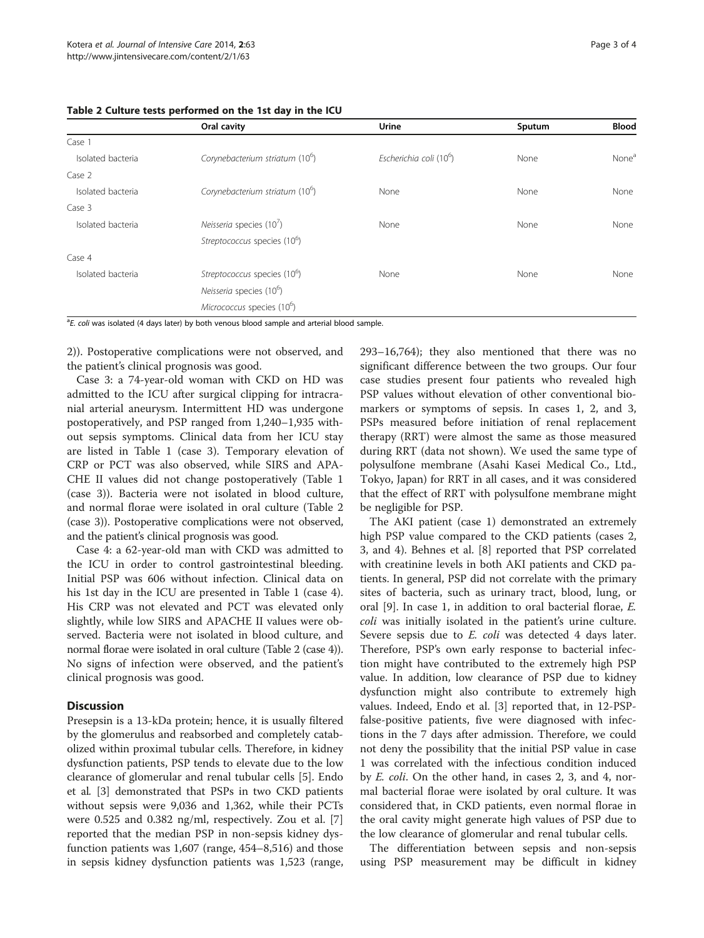|                   | Oral cavity                                 | Urine                               | Sputum | <b>Blood</b>      |
|-------------------|---------------------------------------------|-------------------------------------|--------|-------------------|
| Case 1            |                                             |                                     |        |                   |
| Isolated bacteria | Corynebacterium striatum (10 <sup>b</sup> ) | Escherichia coli (10 <sup>6</sup> ) | None   | None <sup>a</sup> |
| Case 2            |                                             |                                     |        |                   |
| Isolated bacteria | Corynebacterium striatum (10 <sup>b</sup> ) | None                                | None   | None              |
| Case 3            |                                             |                                     |        |                   |
| Isolated bacteria | Neisseria species $(107)$                   | None                                | None   | None              |
|                   | Streptococcus species (10 <sup>6</sup> )    |                                     |        |                   |
| Case 4            |                                             |                                     |        |                   |
| Isolated bacteria | Streptococcus species (10 <sup>6</sup> )    | None                                | None   | None              |
|                   | Neisseria species (10°)                     |                                     |        |                   |
|                   | Micrococcus species (10 <sup>6</sup> )      |                                     |        |                   |

<span id="page-2-0"></span>Table 2 Culture tests performed on the 1st day in the ICU

<sup>a</sup>E. coli was isolated (4 days later) by both venous blood sample and arterial blood sample.

2)). Postoperative complications were not observed, and the patient's clinical prognosis was good.

Case 3: a 74-year-old woman with CKD on HD was admitted to the ICU after surgical clipping for intracranial arterial aneurysm. Intermittent HD was undergone postoperatively, and PSP ranged from 1,240–1,935 without sepsis symptoms. Clinical data from her ICU stay are listed in Table [1](#page-1-0) (case 3). Temporary elevation of CRP or PCT was also observed, while SIRS and APA-CHE II values did not change postoperatively (Table [1](#page-1-0) (case 3)). Bacteria were not isolated in blood culture, and normal florae were isolated in oral culture (Table 2 (case 3)). Postoperative complications were not observed, and the patient's clinical prognosis was good.

Case 4: a 62-year-old man with CKD was admitted to the ICU in order to control gastrointestinal bleeding. Initial PSP was 606 without infection. Clinical data on his 1st day in the ICU are presented in Table [1](#page-1-0) (case 4). His CRP was not elevated and PCT was elevated only slightly, while low SIRS and APACHE II values were observed. Bacteria were not isolated in blood culture, and normal florae were isolated in oral culture (Table 2 (case 4)). No signs of infection were observed, and the patient's clinical prognosis was good.

## **Discussion**

Presepsin is a 13-kDa protein; hence, it is usually filtered by the glomerulus and reabsorbed and completely catabolized within proximal tubular cells. Therefore, in kidney dysfunction patients, PSP tends to elevate due to the low clearance of glomerular and renal tubular cells [[5\]](#page-3-0). Endo et al. [\[3\]](#page-3-0) demonstrated that PSPs in two CKD patients without sepsis were 9,036 and 1,362, while their PCTs were 0.525 and 0.382 ng/ml, respectively. Zou et al. [\[7](#page-3-0)] reported that the median PSP in non-sepsis kidney dysfunction patients was 1,607 (range, 454–8,516) and those in sepsis kidney dysfunction patients was 1,523 (range, 293–16,764); they also mentioned that there was no significant difference between the two groups. Our four case studies present four patients who revealed high PSP values without elevation of other conventional biomarkers or symptoms of sepsis. In cases 1, 2, and 3, PSPs measured before initiation of renal replacement therapy (RRT) were almost the same as those measured during RRT (data not shown). We used the same type of polysulfone membrane (Asahi Kasei Medical Co., Ltd., Tokyo, Japan) for RRT in all cases, and it was considered

that the effect of RRT with polysulfone membrane might

be negligible for PSP. The AKI patient (case 1) demonstrated an extremely high PSP value compared to the CKD patients (cases 2, 3, and 4). Behnes et al. [[8\]](#page-3-0) reported that PSP correlated with creatinine levels in both AKI patients and CKD patients. In general, PSP did not correlate with the primary sites of bacteria, such as urinary tract, blood, lung, or oral [\[9](#page-3-0)]. In case 1, in addition to oral bacterial florae, E. coli was initially isolated in the patient's urine culture. Severe sepsis due to E. coli was detected 4 days later. Therefore, PSP's own early response to bacterial infection might have contributed to the extremely high PSP value. In addition, low clearance of PSP due to kidney dysfunction might also contribute to extremely high values. Indeed, Endo et al. [[3\]](#page-3-0) reported that, in 12-PSPfalse-positive patients, five were diagnosed with infections in the 7 days after admission. Therefore, we could not deny the possibility that the initial PSP value in case 1 was correlated with the infectious condition induced by E. coli. On the other hand, in cases 2, 3, and 4, normal bacterial florae were isolated by oral culture. It was considered that, in CKD patients, even normal florae in the oral cavity might generate high values of PSP due to the low clearance of glomerular and renal tubular cells.

The differentiation between sepsis and non-sepsis using PSP measurement may be difficult in kidney